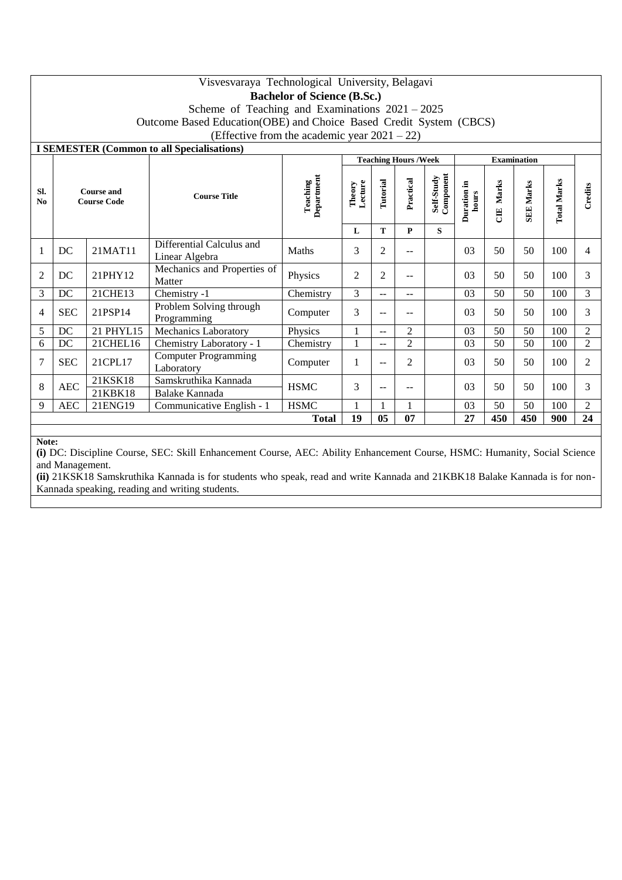|           | Visvesvaraya Technological University, Belagavi<br><b>Bachelor of Science (B.Sc.)</b> |                                         |                                                   |                        |                   |                |                   |                         |                                               |     |                  |                    |                |  |  |
|-----------|---------------------------------------------------------------------------------------|-----------------------------------------|---------------------------------------------------|------------------------|-------------------|----------------|-------------------|-------------------------|-----------------------------------------------|-----|------------------|--------------------|----------------|--|--|
|           |                                                                                       |                                         |                                                   |                        |                   |                |                   |                         |                                               |     |                  |                    |                |  |  |
|           |                                                                                       |                                         | Scheme of Teaching and Examinations $2021 - 2025$ |                        |                   |                |                   |                         |                                               |     |                  |                    |                |  |  |
|           | Outcome Based Education(OBE) and Choice Based Credit System (CBCS)                    |                                         |                                                   |                        |                   |                |                   |                         |                                               |     |                  |                    |                |  |  |
|           | (Effective from the academic year $2021 - 22$ )                                       |                                         |                                                   |                        |                   |                |                   |                         |                                               |     |                  |                    |                |  |  |
|           | <b>I SEMESTER (Common to all Specialisations)</b><br><b>Teaching Hours / Week</b>     |                                         |                                                   |                        |                   |                |                   |                         |                                               |     |                  |                    |                |  |  |
|           |                                                                                       |                                         |                                                   | Department<br>Teaching |                   |                |                   |                         | <b>Examination</b>                            |     |                  |                    |                |  |  |
| Sl.<br>No |                                                                                       | <b>Course and</b><br><b>Course Code</b> | <b>Course Title</b>                               |                        | Theory<br>Lecture | Tutorial       | Practical         | Self-Study<br>Component | Marks<br>Duration in<br>hours<br>$\mathbb{E}$ |     | <b>SEE Marks</b> | <b>Total Marks</b> | Credits        |  |  |
|           |                                                                                       |                                         |                                                   |                        | L                 | T              | $\mathbf{P}$      | S                       |                                               |     |                  |                    |                |  |  |
| 1         | DC                                                                                    | 21MAT11                                 | Differential Calculus and<br>Linear Algebra       | Maths                  | 3                 | $\overline{2}$ | $\qquad \qquad -$ |                         | 03                                            | 50  | 50               | 100                | $\overline{4}$ |  |  |
| 2         | DC                                                                                    | 21PHY12                                 | Mechanics and Properties of<br>Matter             | Physics                | $\overline{2}$    | 2              | --                |                         | 0 <sup>3</sup>                                | 50  | 50               | 100                | 3              |  |  |
| 3         | DC                                                                                    | 21CHE13                                 | Chemistry -1                                      | Chemistry              | 3                 | $\overline{a}$ | $-$               |                         | 03                                            | 50  | 50               | 100                | 3              |  |  |
| 4         | <b>SEC</b>                                                                            | 21PSP14                                 | Problem Solving through<br>Programming            | Computer               | 3                 | $-$            | --                |                         | 03                                            | 50  | 50               | 100                | 3              |  |  |
| 5         | DC                                                                                    | 21 PHYL15                               | Mechanics Laboratory                              | Physics                | 1                 | $\overline{a}$ | $\overline{2}$    |                         | 03                                            | 50  | 50               | 100                | $\overline{2}$ |  |  |
| 6         | $DC$                                                                                  | 21CHEL16                                | Chemistry Laboratory - 1                          | Chemistry              |                   | $-$            | $\overline{2}$    |                         | 03                                            | 50  | 50               | 100                | $\overline{2}$ |  |  |
| 7         | <b>SEC</b>                                                                            | 21CPL17                                 | <b>Computer Programming</b><br>Laboratory         | Computer               | 1                 | $-$            | 2                 |                         | 03                                            | 50  | 50               | 100                | $\overline{2}$ |  |  |
| 8         |                                                                                       | 21KSK18                                 | Samskruthika Kannada                              | <b>HSMC</b>            | 3                 | --             |                   |                         | 03                                            | 50  | 50               |                    | 3              |  |  |
|           | <b>AEC</b>                                                                            | 21KBK18                                 | Balake Kannada                                    |                        |                   |                |                   |                         |                                               |     |                  | 100                |                |  |  |
| 9         | <b>AEC</b>                                                                            | 21ENG19                                 | Communicative English - 1                         | <b>HSMC</b>            |                   |                |                   |                         | 03                                            | 50  | 50               | 100                | $\overline{c}$ |  |  |
|           |                                                                                       |                                         |                                                   | <b>Total</b>           | 19                | 0 <sub>5</sub> | 07                |                         | 27                                            | 450 | 450              | 900                | 24             |  |  |

**Note:**

**(i)** DC: Discipline Course, SEC: Skill Enhancement Course, AEC: Ability Enhancement Course, HSMC: Humanity, Social Science and Management.

**(ii)** 21KSK18 Samskruthika Kannada is for students who speak, read and write Kannada and 21KBK18 Balake Kannada is for non-Kannada speaking, reading and writing students.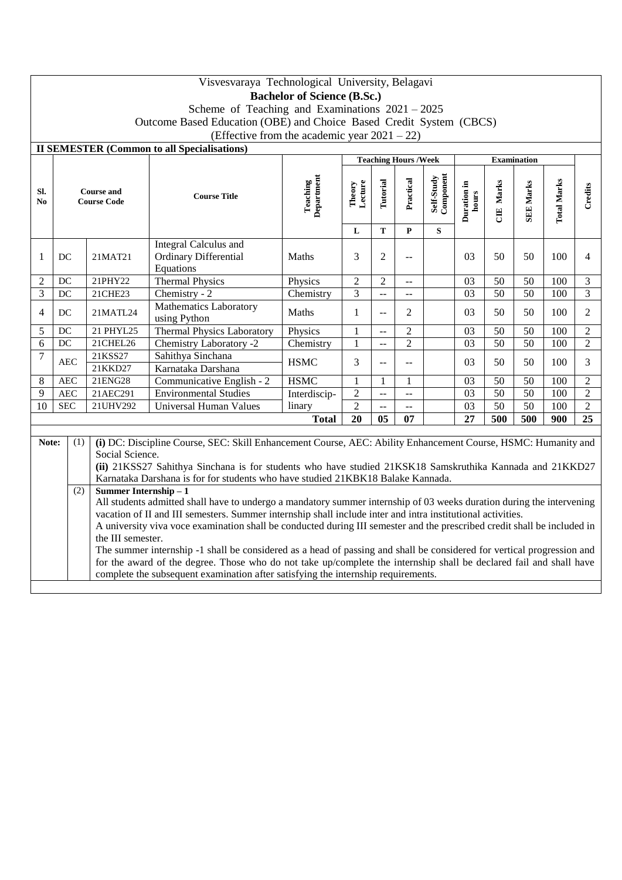|                                                                                                        | Visvesvaraya Technological University, Belagavi                                                                        |                                                                                                                                                                                                                                      |                                                                                                                        |                               |                   |                      |                |                         |                      |                       |                  |                    |                             |  |
|--------------------------------------------------------------------------------------------------------|------------------------------------------------------------------------------------------------------------------------|--------------------------------------------------------------------------------------------------------------------------------------------------------------------------------------------------------------------------------------|------------------------------------------------------------------------------------------------------------------------|-------------------------------|-------------------|----------------------|----------------|-------------------------|----------------------|-----------------------|------------------|--------------------|-----------------------------|--|
|                                                                                                        | <b>Bachelor of Science (B.Sc.)</b>                                                                                     |                                                                                                                                                                                                                                      |                                                                                                                        |                               |                   |                      |                |                         |                      |                       |                  |                    |                             |  |
|                                                                                                        | Scheme of Teaching and Examinations $2021 - 2025$                                                                      |                                                                                                                                                                                                                                      |                                                                                                                        |                               |                   |                      |                |                         |                      |                       |                  |                    |                             |  |
|                                                                                                        | Outcome Based Education (OBE) and Choice Based Credit System (CBCS)<br>(Effective from the academic year $2021 - 22$ ) |                                                                                                                                                                                                                                      |                                                                                                                        |                               |                   |                      |                |                         |                      |                       |                  |                    |                             |  |
|                                                                                                        |                                                                                                                        |                                                                                                                                                                                                                                      |                                                                                                                        |                               |                   |                      |                |                         |                      |                       |                  |                    |                             |  |
| <b>II SEMESTER (Common to all Specialisations)</b><br><b>Teaching Hours/Week</b><br><b>Examination</b> |                                                                                                                        |                                                                                                                                                                                                                                      |                                                                                                                        |                               |                   |                      |                |                         |                      |                       |                  |                    |                             |  |
|                                                                                                        |                                                                                                                        |                                                                                                                                                                                                                                      |                                                                                                                        |                               |                   |                      |                |                         |                      |                       |                  |                    |                             |  |
| Sl.<br>N <sub>0</sub>                                                                                  |                                                                                                                        | <b>Course and</b><br><b>Course Code</b>                                                                                                                                                                                              | <b>Course Title</b>                                                                                                    | <b>Teaching</b><br>Department | Theory<br>Lecture | Tutorial             | Practical      | Self-Study<br>Component | Duration in<br>hours | Marks<br>$\mathbf{H}$ | <b>SEE Marks</b> | <b>Total Marks</b> | Credits                     |  |
|                                                                                                        |                                                                                                                        |                                                                                                                                                                                                                                      |                                                                                                                        |                               | L                 | T                    | $\mathbf{P}$   | ${\bf S}$               |                      |                       |                  |                    |                             |  |
| 1                                                                                                      | DC                                                                                                                     | 21MAT21                                                                                                                                                                                                                              | Integral Calculus and<br>Ordinary Differential<br>Equations                                                            | Maths                         | 3                 | $\overline{c}$       | --             |                         | 03                   | 50                    | 50               | 100                | $\overline{4}$              |  |
| $\overline{2}$                                                                                         | DC                                                                                                                     | 21PHY22<br><b>Thermal Physics</b><br>$\overline{2}$<br>$\boldsymbol{2}$<br>Physics<br>--<br>$\overline{3}$                                                                                                                           |                                                                                                                        |                               |                   |                      |                |                         | 03                   | 50                    | 50               | 100                | $\ensuremath{\mathfrak{Z}}$ |  |
| $\overline{3}$                                                                                         | DC                                                                                                                     | 21CHE23<br>Chemistry - 2<br>Chemistry                                                                                                                                                                                                |                                                                                                                        |                               |                   | $\ddot{\phantom{a}}$ | $-$            |                         | 03                   | $\overline{50}$       | $\overline{50}$  | $\overline{100}$   | $\overline{3}$              |  |
| $\overline{4}$                                                                                         | Mathematics Laboratory<br>$DC$<br>21MATL24<br>using Python                                                             |                                                                                                                                                                                                                                      |                                                                                                                        | Maths                         | 1                 | $-$                  | $\overline{2}$ |                         | 03                   | 50                    | 50               | 100                | $\overline{2}$              |  |
| 5                                                                                                      | <b>Thermal Physics Laboratory</b><br>21 PHYL25<br>Physics<br>DC                                                        |                                                                                                                                                                                                                                      | 1                                                                                                                      | $-$                           | $\overline{c}$    |                      | 03             | 50                      | 50                   | 100                   | $\overline{2}$   |                    |                             |  |
| 6                                                                                                      | $DC$                                                                                                                   | 21CHEL26                                                                                                                                                                                                                             | Chemistry Laboratory -2                                                                                                | Chemistry                     | 1                 | $-$                  | $\overline{2}$ |                         | 03                   | 50                    | $\overline{50}$  | 100                | $\overline{2}$              |  |
| $\overline{7}$                                                                                         | $\rm AEC$                                                                                                              | 21KSS27<br>21KKD27                                                                                                                                                                                                                   | Sahithya Sinchana<br>Karnataka Darshana                                                                                | <b>HSMC</b>                   | 3                 | $-$                  | --             |                         | 03                   | 50                    | 50               | 100                | 3                           |  |
| 8                                                                                                      | $\rm AEC$                                                                                                              | 21ENG28                                                                                                                                                                                                                              | Communicative English - 2                                                                                              | <b>HSMC</b>                   | $\mathbf{1}$      | $\mathbf{1}$         | $\mathbf{1}$   |                         | 03                   | 50                    | 50               | 100                | $\overline{2}$              |  |
| 9                                                                                                      | <b>AEC</b>                                                                                                             | 21AEC291                                                                                                                                                                                                                             | <b>Environmental Studies</b>                                                                                           | Interdiscip-                  | $\overline{2}$    | $\overline{a}$       | $\overline{a}$ |                         | 03                   | $\overline{50}$       | $\overline{50}$  | 100                | $\overline{2}$              |  |
| 10                                                                                                     | <b>SEC</b>                                                                                                             | $\overline{2}$<br>50<br>50<br>$\overline{03}$<br>21UHV292<br><b>Universal Human Values</b><br>100<br>linary<br>$\bar{\omega}$<br>$-$                                                                                                 |                                                                                                                        |                               |                   |                      |                |                         |                      | $\overline{2}$        |                  |                    |                             |  |
|                                                                                                        |                                                                                                                        |                                                                                                                                                                                                                                      |                                                                                                                        | <b>Total</b>                  | 20                | 05                   | 07             |                         | $\overline{27}$      | 500                   | 500              | 900                | $\overline{25}$             |  |
|                                                                                                        |                                                                                                                        |                                                                                                                                                                                                                                      |                                                                                                                        |                               |                   |                      |                |                         |                      |                       |                  |                    |                             |  |
| Note:                                                                                                  | (1)                                                                                                                    |                                                                                                                                                                                                                                      | (i) DC: Discipline Course, SEC: Skill Enhancement Course, AEC: Ability Enhancement Course, HSMC: Humanity and          |                               |                   |                      |                |                         |                      |                       |                  |                    |                             |  |
|                                                                                                        |                                                                                                                        | Social Science.                                                                                                                                                                                                                      |                                                                                                                        |                               |                   |                      |                |                         |                      |                       |                  |                    |                             |  |
|                                                                                                        |                                                                                                                        |                                                                                                                                                                                                                                      | (ii) 21KSS27 Sahithya Sinchana is for students who have studied 21KSK18 Samskruthika Kannada and 21KKD27               |                               |                   |                      |                |                         |                      |                       |                  |                    |                             |  |
|                                                                                                        |                                                                                                                        | Karnataka Darshana is for for students who have studied 21KBK18 Balake Kannada.                                                                                                                                                      |                                                                                                                        |                               |                   |                      |                |                         |                      |                       |                  |                    |                             |  |
|                                                                                                        |                                                                                                                        | Summer Internship - 1<br>(2)                                                                                                                                                                                                         |                                                                                                                        |                               |                   |                      |                |                         |                      |                       |                  |                    |                             |  |
|                                                                                                        |                                                                                                                        | All students admitted shall have to undergo a mandatory summer internship of 03 weeks duration during the intervening<br>vacation of II and III semesters. Summer internship shall include inter and intra institutional activities. |                                                                                                                        |                               |                   |                      |                |                         |                      |                       |                  |                    |                             |  |
|                                                                                                        |                                                                                                                        | A university viva voce examination shall be conducted during III semester and the prescribed credit shall be included in                                                                                                             |                                                                                                                        |                               |                   |                      |                |                         |                      |                       |                  |                    |                             |  |
|                                                                                                        |                                                                                                                        | the III semester.                                                                                                                                                                                                                    |                                                                                                                        |                               |                   |                      |                |                         |                      |                       |                  |                    |                             |  |
|                                                                                                        |                                                                                                                        |                                                                                                                                                                                                                                      | The summer internship -1 shall be considered as a head of passing and shall be considered for vertical progression and |                               |                   |                      |                |                         |                      |                       |                  |                    |                             |  |
|                                                                                                        |                                                                                                                        | for the award of the degree. Those who do not take up/complete the internship shall be declared fail and shall have                                                                                                                  |                                                                                                                        |                               |                   |                      |                |                         |                      |                       |                  |                    |                             |  |
|                                                                                                        | complete the subsequent examination after satisfying the internship requirements.                                      |                                                                                                                                                                                                                                      |                                                                                                                        |                               |                   |                      |                |                         |                      |                       |                  |                    |                             |  |
|                                                                                                        |                                                                                                                        |                                                                                                                                                                                                                                      |                                                                                                                        |                               |                   |                      |                |                         |                      |                       |                  |                    |                             |  |